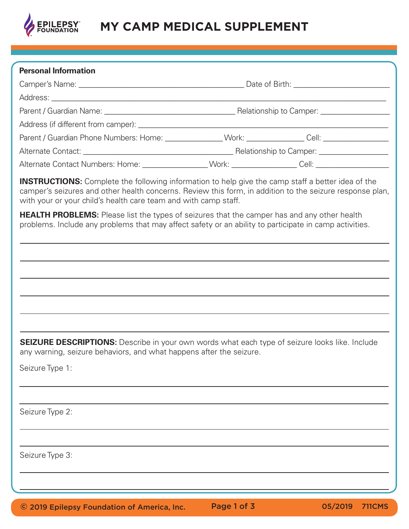

## **MY CAMP MEDICAL SUPPLEMENT**

| <b>Personal Information</b>                                                                                                                                                                                                                                                             |  |  |
|-----------------------------------------------------------------------------------------------------------------------------------------------------------------------------------------------------------------------------------------------------------------------------------------|--|--|
|                                                                                                                                                                                                                                                                                         |  |  |
|                                                                                                                                                                                                                                                                                         |  |  |
|                                                                                                                                                                                                                                                                                         |  |  |
|                                                                                                                                                                                                                                                                                         |  |  |
| Parent / Guardian Phone Numbers: Home: _______________Work: _____________Cell: _____________________                                                                                                                                                                                    |  |  |
|                                                                                                                                                                                                                                                                                         |  |  |
| Alternate Contact Numbers: Home: _________________Work: _________________Cell: _____________________                                                                                                                                                                                    |  |  |
| <b>INSTRUCTIONS:</b> Complete the following information to help give the camp staff a better idea of the<br>camper's seizures and other health concerns. Review this form, in addition to the seizure response plan,<br>with your or your child's health care team and with camp staff. |  |  |
| <b>HEALTH PROBLEMS:</b> Please list the types of seizures that the camper has and any other health<br>problems. Include any problems that may affect safety or an ability to participate in camp activities.                                                                            |  |  |
|                                                                                                                                                                                                                                                                                         |  |  |
|                                                                                                                                                                                                                                                                                         |  |  |
|                                                                                                                                                                                                                                                                                         |  |  |
|                                                                                                                                                                                                                                                                                         |  |  |
|                                                                                                                                                                                                                                                                                         |  |  |
|                                                                                                                                                                                                                                                                                         |  |  |
|                                                                                                                                                                                                                                                                                         |  |  |
| <b>SEIZURE DESCRIPTIONS:</b> Describe in your own words what each type of seizure looks like. Include<br>any warning, seizure behaviors, and what happens after the seizure.                                                                                                            |  |  |
| Seizure Type 1:                                                                                                                                                                                                                                                                         |  |  |
|                                                                                                                                                                                                                                                                                         |  |  |
|                                                                                                                                                                                                                                                                                         |  |  |
| Seizure Type 2:                                                                                                                                                                                                                                                                         |  |  |
|                                                                                                                                                                                                                                                                                         |  |  |
| Seizure Type 3:                                                                                                                                                                                                                                                                         |  |  |
|                                                                                                                                                                                                                                                                                         |  |  |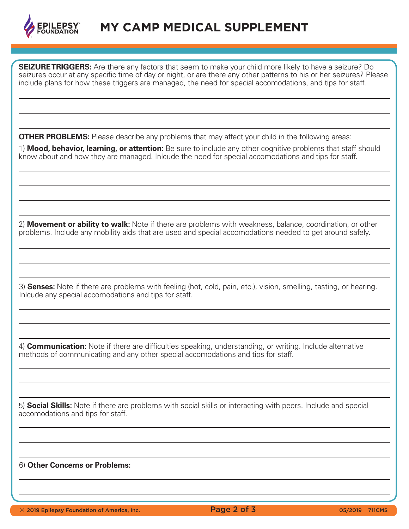

**SEIZURE TRIGGERS:** Are there any factors that seem to make your child more likely to have a seizure? Do seizures occur at any specific time of day or night, or are there any other patterns to his or her seizures? Please include plans for how these triggers are managed, the need for special accomodations, and tips for staff.

**OTHER PROBLEMS:** Please describe any problems that may affect your child in the following areas:

1) **Mood, behavior, learning, or attention:** Be sure to include any other cognitive problems that staff should know about and how they are managed. Inlcude the need for special accomodations and tips for staff.

2) **Movement or ability to walk:** Note if there are problems with weakness, balance, coordination, or other problems. Include any mobility aids that are used and special accomodations needed to get around safely.

3) **Senses:** Note if there are problems with feeling (hot, cold, pain, etc.), vision, smelling, tasting, or hearing. Inlcude any special accomodations and tips for staff.

4) **Communication:** Note if there are difficulties speaking, understanding, or writing. Include alternative methods of communicating and any other special accomodations and tips for staff.

5) **Social Skills:** Note if there are problems with social skills or interacting with peers. Include and special accomodations and tips for staff.

6) **Other Concerns or Problems:** 

**C** 2019 Epilepsy Foundation of America, Inc. **Page 2 of 3** 05/2019 711CMS